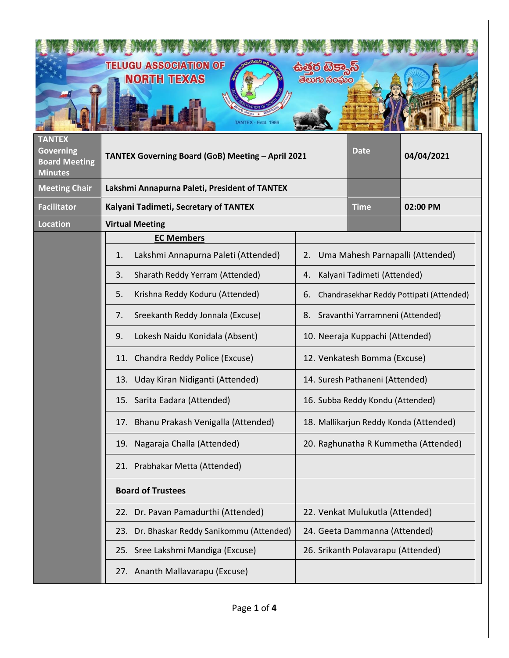| <b>TANTEX</b><br><b>Governing</b><br><b>Board Meeting</b><br><b>Minutes</b> | <b>TELUGU ASSOCIATION OF</b><br><b>NORTH TEXAS</b><br>ANTEX - Estd. 1986<br>TANTEX Governing Board (GoB) Meeting - April 2021 | සමර ගිප<br>తెలుగు సంఘం                                                                                                                                                                                                                                                                  | Date                                                                           | 04/04/2021                       |
|-----------------------------------------------------------------------------|-------------------------------------------------------------------------------------------------------------------------------|-----------------------------------------------------------------------------------------------------------------------------------------------------------------------------------------------------------------------------------------------------------------------------------------|--------------------------------------------------------------------------------|----------------------------------|
| <b>Meeting Chair</b>                                                        | Lakshmi Annapurna Paleti, President of TANTEX                                                                                 |                                                                                                                                                                                                                                                                                         |                                                                                |                                  |
| <b>Facilitator</b>                                                          | Kalyani Tadimeti, Secretary of TANTEX                                                                                         |                                                                                                                                                                                                                                                                                         | <b>Time</b>                                                                    | 02:00 PM                         |
| <b>Location</b>                                                             | <b>Virtual Meeting</b>                                                                                                        |                                                                                                                                                                                                                                                                                         |                                                                                |                                  |
|                                                                             | <b>EC Members</b>                                                                                                             |                                                                                                                                                                                                                                                                                         |                                                                                |                                  |
|                                                                             | Lakshmi Annapurna Paleti (Attended)<br>1.                                                                                     | 2.                                                                                                                                                                                                                                                                                      |                                                                                | Uma Mahesh Parnapalli (Attended) |
|                                                                             | Sharath Reddy Yerram (Attended)<br>3.                                                                                         | Kalyani Tadimeti (Attended)<br>4.<br>Krishna Reddy Koduru (Attended)<br>5.<br>Chandrasekhar Reddy Pottipati (Attended)<br>6.<br>Sreekanth Reddy Jonnala (Excuse)<br>8. Sravanthi Yarramneni (Attended)<br>7.<br>Lokesh Naidu Konidala (Absent)<br>9.<br>10. Neeraja Kuppachi (Attended) |                                                                                |                                  |
|                                                                             |                                                                                                                               |                                                                                                                                                                                                                                                                                         |                                                                                |                                  |
|                                                                             |                                                                                                                               |                                                                                                                                                                                                                                                                                         |                                                                                |                                  |
|                                                                             |                                                                                                                               |                                                                                                                                                                                                                                                                                         |                                                                                |                                  |
|                                                                             | 11. Chandra Reddy Police (Excuse)                                                                                             |                                                                                                                                                                                                                                                                                         | 12. Venkatesh Bomma (Excuse)                                                   |                                  |
|                                                                             | 13. Uday Kiran Nidiganti (Attended)                                                                                           | 14. Suresh Pathaneni (Attended)<br>16. Subba Reddy Kondu (Attended)                                                                                                                                                                                                                     |                                                                                |                                  |
|                                                                             | 15. Sarita Eadara (Attended)                                                                                                  |                                                                                                                                                                                                                                                                                         |                                                                                |                                  |
|                                                                             | 17. Bhanu Prakash Venigalla (Attended)<br>19. Nagaraja Challa (Attended)                                                      |                                                                                                                                                                                                                                                                                         | 18. Mallikarjun Reddy Konda (Attended)<br>20. Raghunatha R Kummetha (Attended) |                                  |
|                                                                             |                                                                                                                               |                                                                                                                                                                                                                                                                                         |                                                                                |                                  |
|                                                                             | 21. Prabhakar Metta (Attended)                                                                                                |                                                                                                                                                                                                                                                                                         |                                                                                |                                  |
|                                                                             | <b>Board of Trustees</b>                                                                                                      |                                                                                                                                                                                                                                                                                         |                                                                                |                                  |
|                                                                             | 22. Dr. Pavan Pamadurthi (Attended)                                                                                           |                                                                                                                                                                                                                                                                                         | 22. Venkat Mulukutla (Attended)                                                |                                  |
|                                                                             | 23. Dr. Bhaskar Reddy Sanikommu (Attended)<br>24. Geeta Dammanna (Attended)                                                   |                                                                                                                                                                                                                                                                                         |                                                                                |                                  |
|                                                                             | 25. Sree Lakshmi Mandiga (Excuse)                                                                                             |                                                                                                                                                                                                                                                                                         | 26. Srikanth Polavarapu (Attended)                                             |                                  |
|                                                                             | 27. Ananth Mallavarapu (Excuse)                                                                                               |                                                                                                                                                                                                                                                                                         |                                                                                |                                  |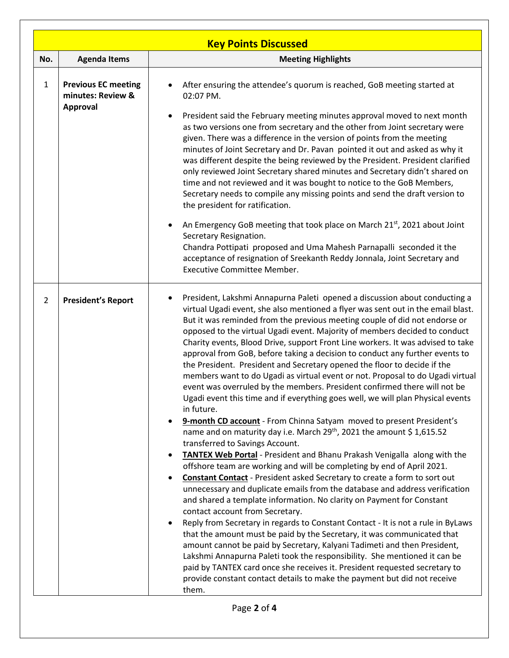| <b>Key Points Discussed</b> |                                                             |                                                                                                                                                                                                                                                                                                                                                                                                                                                                                                                                                                                                                                                                                                                                                                                                                                                                                                                                                                                                                                                                                                                                                                                                                                                                                                                                                                                                                                                                                                                                                                                                                                                                                                                                                                                                                                                                                                                                                                                  |  |  |  |
|-----------------------------|-------------------------------------------------------------|----------------------------------------------------------------------------------------------------------------------------------------------------------------------------------------------------------------------------------------------------------------------------------------------------------------------------------------------------------------------------------------------------------------------------------------------------------------------------------------------------------------------------------------------------------------------------------------------------------------------------------------------------------------------------------------------------------------------------------------------------------------------------------------------------------------------------------------------------------------------------------------------------------------------------------------------------------------------------------------------------------------------------------------------------------------------------------------------------------------------------------------------------------------------------------------------------------------------------------------------------------------------------------------------------------------------------------------------------------------------------------------------------------------------------------------------------------------------------------------------------------------------------------------------------------------------------------------------------------------------------------------------------------------------------------------------------------------------------------------------------------------------------------------------------------------------------------------------------------------------------------------------------------------------------------------------------------------------------------|--|--|--|
| No.                         | <b>Agenda Items</b>                                         | <b>Meeting Highlights</b>                                                                                                                                                                                                                                                                                                                                                                                                                                                                                                                                                                                                                                                                                                                                                                                                                                                                                                                                                                                                                                                                                                                                                                                                                                                                                                                                                                                                                                                                                                                                                                                                                                                                                                                                                                                                                                                                                                                                                        |  |  |  |
| $\mathbf{1}$                | <b>Previous EC meeting</b><br>minutes: Review &<br>Approval | After ensuring the attendee's quorum is reached, GoB meeting started at<br>$\bullet$<br>02:07 PM.<br>President said the February meeting minutes approval moved to next month<br>as two versions one from secretary and the other from Joint secretary were<br>given. There was a difference in the version of points from the meeting<br>minutes of Joint Secretary and Dr. Pavan pointed it out and asked as why it<br>was different despite the being reviewed by the President. President clarified<br>only reviewed Joint Secretary shared minutes and Secretary didn't shared on<br>time and not reviewed and it was bought to notice to the GoB Members,<br>Secretary needs to compile any missing points and send the draft version to<br>the president for ratification.<br>An Emergency GoB meeting that took place on March 21st, 2021 about Joint<br>Secretary Resignation.<br>Chandra Pottipati proposed and Uma Mahesh Parnapalli seconded it the<br>acceptance of resignation of Sreekanth Reddy Jonnala, Joint Secretary and<br>Executive Committee Member.                                                                                                                                                                                                                                                                                                                                                                                                                                                                                                                                                                                                                                                                                                                                                                                                                                                                                                      |  |  |  |
| $\overline{2}$              | <b>President's Report</b>                                   | President, Lakshmi Annapurna Paleti opened a discussion about conducting a<br>virtual Ugadi event, she also mentioned a flyer was sent out in the email blast.<br>But it was reminded from the previous meeting couple of did not endorse or<br>opposed to the virtual Ugadi event. Majority of members decided to conduct<br>Charity events, Blood Drive, support Front Line workers. It was advised to take<br>approval from GoB, before taking a decision to conduct any further events to<br>the President. President and Secretary opened the floor to decide if the<br>members want to do Ugadi as virtual event or not. Proposal to do Ugadi virtual<br>event was overruled by the members. President confirmed there will not be<br>Ugadi event this time and if everything goes well, we will plan Physical events<br>in future.<br>9-month CD account - From Chinna Satyam moved to present President's<br>name and on maturity day i.e. March 29 <sup>th</sup> , 2021 the amount \$1,615.52<br>transferred to Savings Account.<br><b>TANTEX Web Portal</b> - President and Bhanu Prakash Venigalla along with the<br>offshore team are working and will be completing by end of April 2021.<br><b>Constant Contact</b> - President asked Secretary to create a form to sort out<br>unnecessary and duplicate emails from the database and address verification<br>and shared a template information. No clarity on Payment for Constant<br>contact account from Secretary.<br>Reply from Secretary in regards to Constant Contact - It is not a rule in ByLaws<br>that the amount must be paid by the Secretary, it was communicated that<br>amount cannot be paid by Secretary, Kalyani Tadimeti and then President,<br>Lakshmi Annapurna Paleti took the responsibility. She mentioned it can be<br>paid by TANTEX card once she receives it. President requested secretary to<br>provide constant contact details to make the payment but did not receive<br>them. |  |  |  |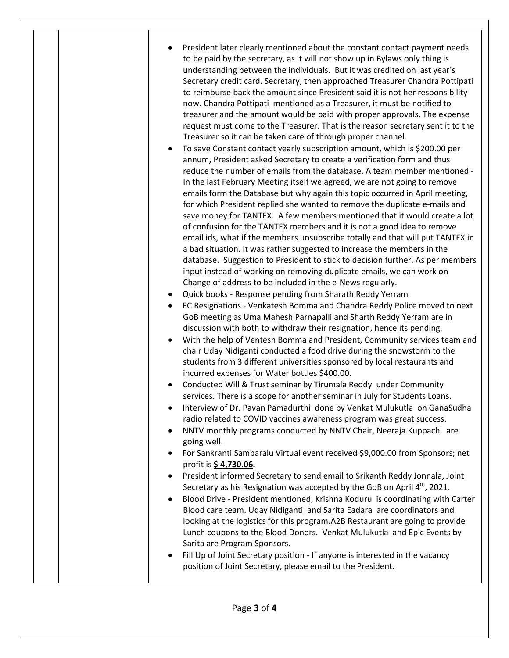• President later clearly mentioned about the constant contact payment needs to be paid by the secretary, as it will not show up in Bylaws only thing is understanding between the individuals. But it was credited on last year's Secretary credit card. Secretary, then approached Treasurer Chandra Pottipati to reimburse back the amount since President said it is not her responsibility now. Chandra Pottipati mentioned as a Treasurer, it must be notified to treasurer and the amount would be paid with proper approvals. The expense request must come to the Treasurer. That is the reason secretary sent it to the Treasurer so it can be taken care of through proper channel. • To save Constant contact yearly subscription amount, which is \$200.00 per annum, President asked Secretary to create a verification form and thus reduce the number of emails from the database. A team member mentioned - In the last February Meeting itself we agreed, we are not going to remove emails form the Database but why again this topic occurred in April meeting, for which President replied she wanted to remove the duplicate e-mails and save money for TANTEX. A few members mentioned that it would create a lot of confusion for the TANTEX members and it is not a good idea to remove email ids, what if the members unsubscribe totally and that will put TANTEX in a bad situation. It was rather suggested to increase the members in the database. Suggestion to President to stick to decision further. As per members input instead of working on removing duplicate emails, we can work on Change of address to be included in the e-News regularly. • Quick books - Response pending from Sharath Reddy Yerram • EC Resignations - Venkatesh Bomma and Chandra Reddy Police moved to next GoB meeting as Uma Mahesh Parnapalli and Sharth Reddy Yerram are in discussion with both to withdraw their resignation, hence its pending. • With the help of Ventesh Bomma and President, Community services team and chair Uday Nidiganti conducted a food drive during the snowstorm to the students from 3 different universities sponsored by local restaurants and incurred expenses for Water bottles \$400.00. • Conducted Will & Trust seminar by Tirumala Reddy under Community services. There is a scope for another seminar in July for Students Loans. • Interview of Dr. Pavan Pamadurthi done by Venkat Mulukutla on GanaSudha radio related to COVID vaccines awareness program was great success. • NNTV monthly programs conducted by NNTV Chair, Neeraja Kuppachi are going well. • For Sankranti Sambaralu Virtual event received \$9,000.00 from Sponsors; net profit is **\$ 4,730.06.** • President informed Secretary to send email to Srikanth Reddy Jonnala, Joint Secretary as his Resignation was accepted by the GoB on April 4<sup>th</sup>, 2021. • Blood Drive - President mentioned, Krishna Koduru is coordinating with Carter Blood care team. Uday Nidiganti and Sarita Eadara are coordinators and looking at the logistics for this program.A2B Restaurant are going to provide Lunch coupons to the Blood Donors. Venkat Mulukutla and Epic Events by Sarita are Program Sponsors. Fill Up of Joint Secretary position - If anyone is interested in the vacancy position of Joint Secretary, please email to the President.